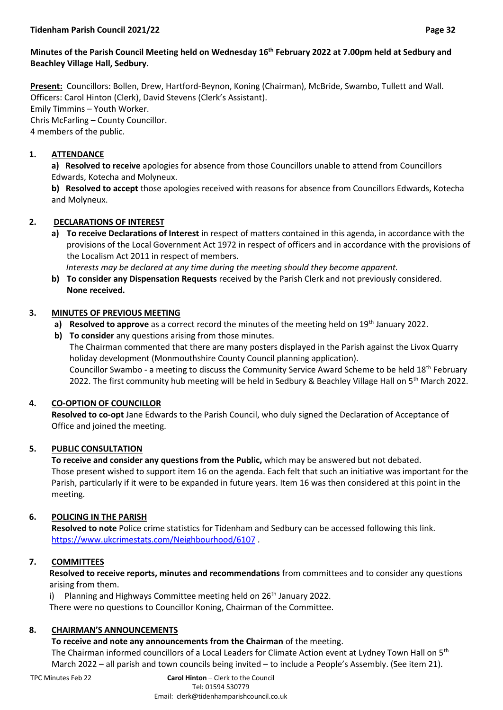## **Minutes of the Parish Council Meeting held on Wednesday 16 th February 2022 at 7.00pm held at Sedbury and Beachley Village Hall, Sedbury.**

**Present:** Councillors: Bollen, Drew, Hartford-Beynon, Koning (Chairman), McBride, Swambo, Tullett and Wall. Officers: Carol Hinton (Clerk), David Stevens (Clerk's Assistant). Emily Timmins – Youth Worker. Chris McFarling – County Councillor. 4 members of the public.

## **1. ATTENDANCE**

**a) Resolved to receive** apologies for absence from those Councillors unable to attend from Councillors Edwards, Kotecha and Molyneux.

**b) Resolved to accept** those apologies received with reasons for absence from Councillors Edwards, Kotecha and Molyneux.

# **2. DECLARATIONS OF INTEREST**

**a) To receive Declarations of Interest** in respect of matters contained in this agenda, in accordance with the provisions of the Local Government Act 1972 in respect of officers and in accordance with the provisions of the Localism Act 2011 in respect of members.

 *Interests may be declared at any time during the meeting should they become apparent.*

**b) To consider any Dispensation Requests** received by the Parish Clerk and not previously considered. **None received.**

## **3. MINUTES OF PREVIOUS MEETING**

- **a) Resolved to approve** as a correct record the minutes of the meeting held on 19<sup>th</sup> January 2022.
- **b) To consider** any questions arising from those minutes.

The Chairman commented that there are many posters displayed in the Parish against the Livox Quarry holiday development (Monmouthshire County Council planning application). Councillor Swambo - a meeting to discuss the Community Service Award Scheme to be held 18th February 2022. The first community hub meeting will be held in Sedbury & Beachley Village Hall on 5th March 2022.

## **4. CO-OPTION OF COUNCILLOR**

**Resolved to co-opt** Jane Edwards to the Parish Council, who duly signed the Declaration of Acceptance of Office and joined the meeting.

# **5. PUBLIC CONSULTATION**

**To receive and consider any questions from the Public,** which may be answered but not debated. Those present wished to support item 16 on the agenda. Each felt that such an initiative was important for the Parish, particularly if it were to be expanded in future years. Item 16 was then considered at this point in the meeting.

## **6. POLICING IN THE PARISH**

**Resolved to note** Police crime statistics for Tidenham and Sedbury can be accessed following this link. <https://www.ukcrimestats.com/Neighbourhood/6107> .

# **7. COMMITTEES**

**Resolved to receive reports, minutes and recommendations** from committees and to consider any questions arising from them.

i) Planning and Highways Committee meeting held on  $26<sup>th</sup>$  January 2022. There were no questions to Councillor Koning, Chairman of the Committee.

## **8. CHAIRMAN'S ANNOUNCEMENTS**

**To receive and note any announcements from the Chairman** of the meeting.

The Chairman informed councillors of a Local Leaders for Climate Action event at Lydney Town Hall on 5<sup>th</sup> March 2022 – all parish and town councils being invited – to include a People's Assembly. (See item 21).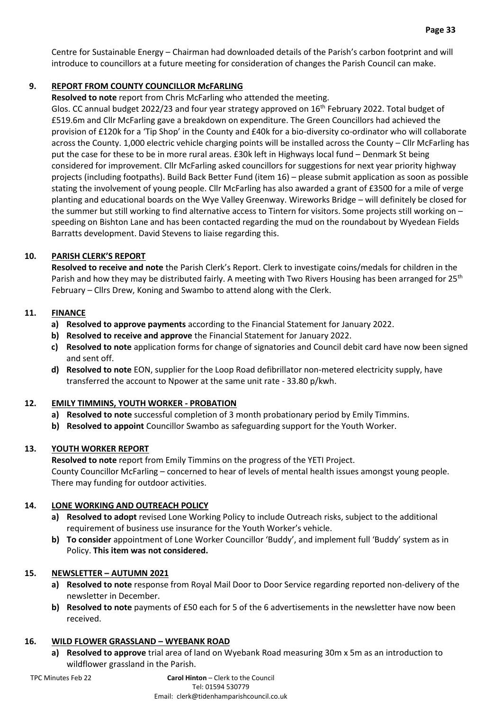Centre for Sustainable Energy – Chairman had downloaded details of the Parish's carbon footprint and will introduce to councillors at a future meeting for consideration of changes the Parish Council can make.

### **9. REPORT FROM COUNTY COUNCILLOR McFARLING**

**Resolved to note** report from Chris McFarling who attended the meeting.

Glos. CC annual budget 2022/23 and four year strategy approved on 16<sup>th</sup> February 2022. Total budget of £519.6m and Cllr McFarling gave a breakdown on expenditure. The Green Councillors had achieved the provision of £120k for a 'Tip Shop' in the County and £40k for a bio-diversity co-ordinator who will collaborate across the County. 1,000 electric vehicle charging points will be installed across the County – Cllr McFarling has put the case for these to be in more rural areas. £30k left in Highways local fund – Denmark St being considered for improvement. Cllr McFarling asked councillors for suggestions for next year priority highway projects (including footpaths). Build Back Better Fund (item 16) – please submit application as soon as possible stating the involvement of young people. Cllr McFarling has also awarded a grant of £3500 for a mile of verge planting and educational boards on the Wye Valley Greenway. Wireworks Bridge – will definitely be closed for the summer but still working to find alternative access to Tintern for visitors. Some projects still working on – speeding on Bishton Lane and has been contacted regarding the mud on the roundabout by Wyedean Fields Barratts development. David Stevens to liaise regarding this.

#### **10. PARISH CLERK'S REPORT**

**Resolved to receive and note** the Parish Clerk's Report. Clerk to investigate coins/medals for children in the Parish and how they may be distributed fairly. A meeting with Two Rivers Housing has been arranged for 25<sup>th</sup> February – Cllrs Drew, Koning and Swambo to attend along with the Clerk.

### **11. FINANCE**

- **a) Resolved to approve payments** according to the Financial Statement for January 2022.
- **b) Resolved to receive and approve** the Financial Statement for January 2022.
- **c) Resolved to note** application forms for change of signatories and Council debit card have now been signed and sent off.
- **d) Resolved to note** EON, supplier for the Loop Road defibrillator non-metered electricity supply, have transferred the account to Npower at the same unit rate - 33.80 p/kwh.

## **12. EMILY TIMMINS, YOUTH WORKER - PROBATION**

- **a) Resolved to note** successful completion of 3 month probationary period by Emily Timmins.
- **b) Resolved to appoint** Councillor Swambo as safeguarding support for the Youth Worker.

## **13. YOUTH WORKER REPORT**

**Resolved to note** report from Emily Timmins on the progress of the YETI Project. County Councillor McFarling – concerned to hear of levels of mental health issues amongst young people. There may funding for outdoor activities.

## **14. LONE WORKING AND OUTREACH POLICY**

- **a) Resolved to adopt** revised Lone Working Policy to include Outreach risks, subject to the additional requirement of business use insurance for the Youth Worker's vehicle.
- **b) To consider** appointment of Lone Worker Councillor 'Buddy', and implement full 'Buddy' system as in Policy. **This item was not considered.**

## **15. NEWSLETTER – AUTUMN 2021**

- **a) Resolved to note** response from Royal Mail Door to Door Service regarding reported non-delivery of the newsletter in December.
- **b) Resolved to note** payments of £50 each for 5 of the 6 advertisements in the newsletter have now been received.

#### **16. WILD FLOWER GRASSLAND – WYEBANK ROAD**

**a) Resolved to approve** trial area of land on Wyebank Road measuring 30m x 5m as an introduction to wildflower grassland in the Parish.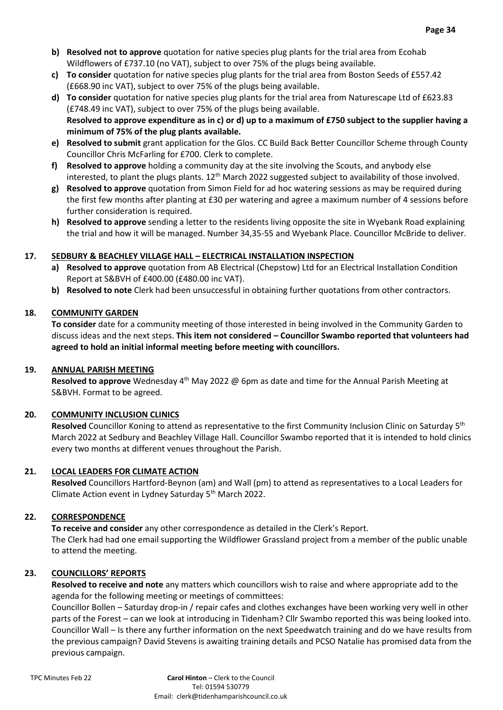- **b) Resolved not to approve** quotation for native species plug plants for the trial area from Ecohab Wildflowers of £737.10 (no VAT), subject to over 75% of the plugs being available.
- **c) To consider** quotation for native species plug plants for the trial area from Boston Seeds of £557.42 (£668.90 inc VAT), subject to over 75% of the plugs being available.
- **d) To consider** quotation for native species plug plants for the trial area from Naturescape Ltd of £623.83 (£748.49 inc VAT), subject to over 75% of the plugs being available. **Resolved to approve expenditure as in c) or d) up to a maximum of £750 subject to the supplier having a minimum of 75% of the plug plants available.**
- **e) Resolved to submit** grant application for the Glos. CC Build Back Better Councillor Scheme through County Councillor Chris McFarling for £700. Clerk to complete.
- **f) Resolved to approve** holding a community day at the site involving the Scouts, and anybody else interested, to plant the plugs plants. 12<sup>th</sup> March 2022 suggested subject to availability of those involved.
- **g) Resolved to approve** quotation from Simon Field for ad hoc watering sessions as may be required during the first few months after planting at £30 per watering and agree a maximum number of 4 sessions before further consideration is required.
- **h) Resolved to approve** sending a letter to the residents living opposite the site in Wyebank Road explaining the trial and how it will be managed. Number 34,35-55 and Wyebank Place. Councillor McBride to deliver.

#### **17. SEDBURY & BEACHLEY VILLAGE HALL – ELECTRICAL INSTALLATION INSPECTION**

- **a) Resolved to approve** quotation from AB Electrical (Chepstow) Ltd for an Electrical Installation Condition Report at S&BVH of £400.00 (£480.00 inc VAT).
- **b) Resolved to note** Clerk had been unsuccessful in obtaining further quotations from other contractors.

### **18. COMMUNITY GARDEN**

**To consider** date for a community meeting of those interested in being involved in the Community Garden to discuss ideas and the next steps. **This item not considered – Councillor Swambo reported that volunteers had agreed to hold an initial informal meeting before meeting with councillors.**

#### **19. ANNUAL PARISH MEETING**

**Resolved to approve** Wednesday 4th May 2022 @ 6pm as date and time for the Annual Parish Meeting at S&BVH. Format to be agreed.

## **20. COMMUNITY INCLUSION CLINICS**

**Resolved** Councillor Koning to attend as representative to the first Community Inclusion Clinic on Saturday 5th March 2022 at Sedbury and Beachley Village Hall. Councillor Swambo reported that it is intended to hold clinics every two months at different venues throughout the Parish.

#### **21. LOCAL LEADERS FOR CLIMATE ACTION**

**Resolved** Councillors Hartford-Beynon (am) and Wall (pm) to attend as representatives to a Local Leaders for Climate Action event in Lydney Saturday 5th March 2022.

## **22. CORRESPONDENCE**

**To receive and consider** any other correspondence as detailed in the Clerk's Report. The Clerk had had one email supporting the Wildflower Grassland project from a member of the public unable to attend the meeting.

#### **23. COUNCILLORS' REPORTS**

**Resolved to receive and note** any matters which councillors wish to raise and where appropriate add to the agenda for the following meeting or meetings of committees:

Councillor Bollen – Saturday drop-in / repair cafes and clothes exchanges have been working very well in other parts of the Forest – can we look at introducing in Tidenham? Cllr Swambo reported this was being looked into. Councillor Wall – Is there any further information on the next Speedwatch training and do we have results from the previous campaign? David Stevens is awaiting training details and PCSO Natalie has promised data from the previous campaign.